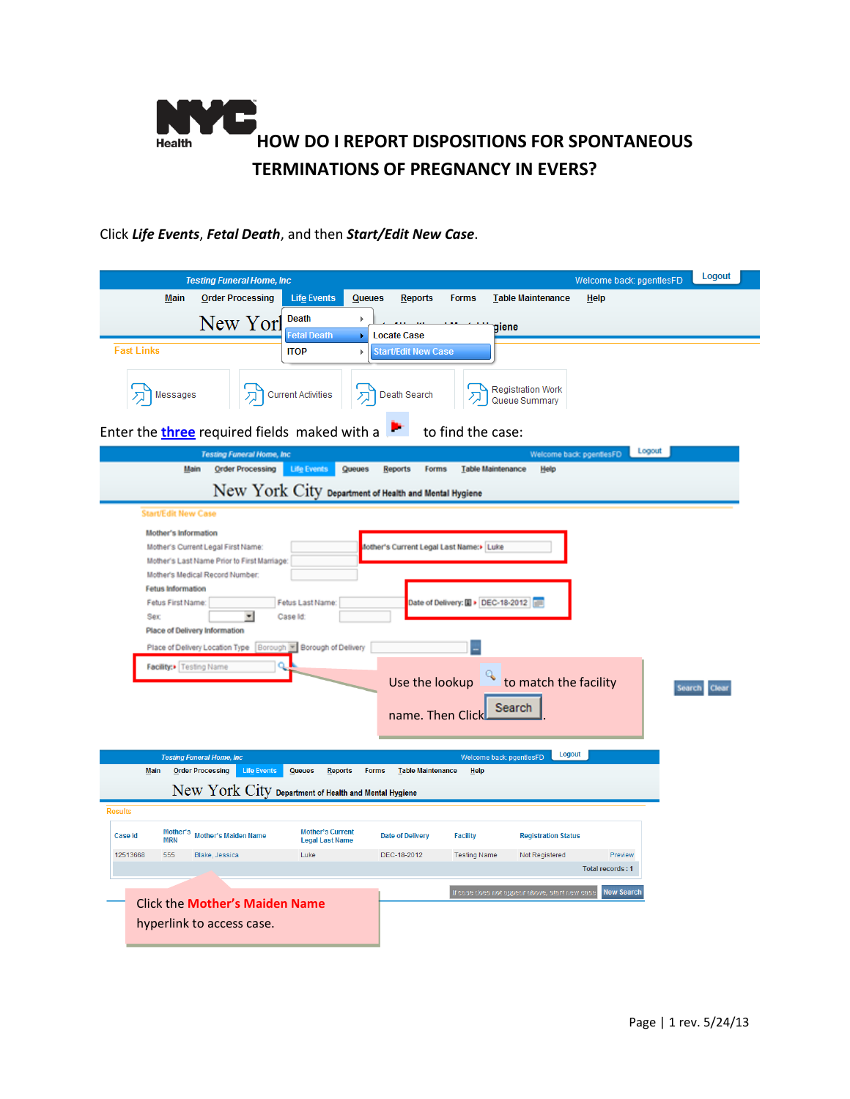

## Click *Life Events*, *Fetal Death*, and then *Start/Edit New Case*.

| <b>Testing Funeral Home, Inc.</b>                                                                                                                                                                                                                                                                                                                                                                                                                                                                                                                                                                                                                                                                                                                                      |                                                   |               |                            |                     |                                               | Welcome back: pgentlesFD           |        | Logout |
|------------------------------------------------------------------------------------------------------------------------------------------------------------------------------------------------------------------------------------------------------------------------------------------------------------------------------------------------------------------------------------------------------------------------------------------------------------------------------------------------------------------------------------------------------------------------------------------------------------------------------------------------------------------------------------------------------------------------------------------------------------------------|---------------------------------------------------|---------------|----------------------------|---------------------|-----------------------------------------------|------------------------------------|--------|--------|
| <b>Order Processing</b><br>Main                                                                                                                                                                                                                                                                                                                                                                                                                                                                                                                                                                                                                                                                                                                                        | <b>Life Events</b>                                | <b>Queues</b> | <b>Reports</b>             | <b>Forms</b>        | <b>Table Maintenance</b>                      | Help                               |        |        |
| New Yorl                                                                                                                                                                                                                                                                                                                                                                                                                                                                                                                                                                                                                                                                                                                                                               | Death                                             | Þ             |                            |                     | <b>giene</b>                                  |                                    |        |        |
|                                                                                                                                                                                                                                                                                                                                                                                                                                                                                                                                                                                                                                                                                                                                                                        | <b>Fetal Death</b>                                |               | <b>Locate Case</b>         |                     |                                               |                                    |        |        |
| <b>Fast Links</b>                                                                                                                                                                                                                                                                                                                                                                                                                                                                                                                                                                                                                                                                                                                                                      | <b>ITOP</b>                                       | Þ             | <b>Start/Edit New Case</b> |                     |                                               |                                    |        |        |
| Messages                                                                                                                                                                                                                                                                                                                                                                                                                                                                                                                                                                                                                                                                                                                                                               | Current Activities                                |               | Death Search               |                     | <b>Registration Work</b><br>Queue Summary     |                                    |        |        |
| Enter the <i>three</i> required fields maked with a                                                                                                                                                                                                                                                                                                                                                                                                                                                                                                                                                                                                                                                                                                                    |                                                   |               |                            | to find the case:   |                                               |                                    |        |        |
| <b>Testing Funeral Home, Inc.</b>                                                                                                                                                                                                                                                                                                                                                                                                                                                                                                                                                                                                                                                                                                                                      |                                                   |               |                            |                     |                                               | Welcome back: pgentlesFD           | Logout |        |
| Main<br><b>Order Processing</b>                                                                                                                                                                                                                                                                                                                                                                                                                                                                                                                                                                                                                                                                                                                                        | <b>Life Events</b>                                | Queues        | <b>Reports</b><br>Forms    |                     | <b>Table Maintenance</b><br>Help              |                                    |        |        |
| New York City Department of Health and Mental Hygiene                                                                                                                                                                                                                                                                                                                                                                                                                                                                                                                                                                                                                                                                                                                  |                                                   |               |                            |                     |                                               |                                    |        |        |
| <b>Start/Edit New Case</b>                                                                                                                                                                                                                                                                                                                                                                                                                                                                                                                                                                                                                                                                                                                                             |                                                   |               |                            |                     |                                               |                                    |        |        |
| Mother's Information<br>fother's Current Legal Last Name:> Luke<br>Mother's Current Legal First Name:<br>Mother's Last Name Prior to First Marriage:<br>Mother's Medical Record Number.<br>Fetus Information<br>Fetus Last Name:<br>Date of Delivery: [] > DEC-18-2012<br>Fetus First Name:<br>▼<br>Case Id:<br>Sex<br>Place of Delivery Information<br>Place of Delivery Location Type   Borough   Borough of Delivery<br>Facility:> Testing Name<br>to match the facility<br>Use the lookup<br><b>learch</b><br>Search<br>name. Then Clic<br>Logout<br>Welcome back: pgentlesFD<br><b>Testing Funeral Home, Inc.</b><br>Life Events<br><b>Main</b><br><b>Order Processing</b><br><b>Queues</b><br><b>Reports</b><br><b>Forms</b><br><b>Table Maintenance</b><br>Help |                                                   |               |                            |                     |                                               |                                    |        |        |
| New York City Department of Health and Mental Hygiene                                                                                                                                                                                                                                                                                                                                                                                                                                                                                                                                                                                                                                                                                                                  |                                                   |               |                            |                     |                                               |                                    |        |        |
| <b>Results</b>                                                                                                                                                                                                                                                                                                                                                                                                                                                                                                                                                                                                                                                                                                                                                         |                                                   |               |                            |                     |                                               |                                    |        |        |
| Mother's<br><b>Mother's Maiden Name</b><br>Case Id<br><b>MRN</b>                                                                                                                                                                                                                                                                                                                                                                                                                                                                                                                                                                                                                                                                                                       | <b>Mother's Current</b><br><b>Legal Last Name</b> |               | <b>Date of Delivery</b>    | <b>Facility</b>     | <b>Registration Status</b>                    |                                    |        |        |
| 555<br>12513668<br>Blake, Jessica                                                                                                                                                                                                                                                                                                                                                                                                                                                                                                                                                                                                                                                                                                                                      | Luke                                              |               | DEC-18-2012                | <b>Testing Name</b> | Not Registered                                | Preview<br><b>Total records: 1</b> |        |        |
|                                                                                                                                                                                                                                                                                                                                                                                                                                                                                                                                                                                                                                                                                                                                                                        |                                                   |               |                            |                     |                                               |                                    |        |        |
|                                                                                                                                                                                                                                                                                                                                                                                                                                                                                                                                                                                                                                                                                                                                                                        | <b>Click the Mother's Maiden Name</b>             |               |                            |                     | If case does not appear above, start new case | <b>New Search</b>                  |        |        |
| hyperlink to access case.                                                                                                                                                                                                                                                                                                                                                                                                                                                                                                                                                                                                                                                                                                                                              |                                                   |               |                            |                     |                                               |                                    |        |        |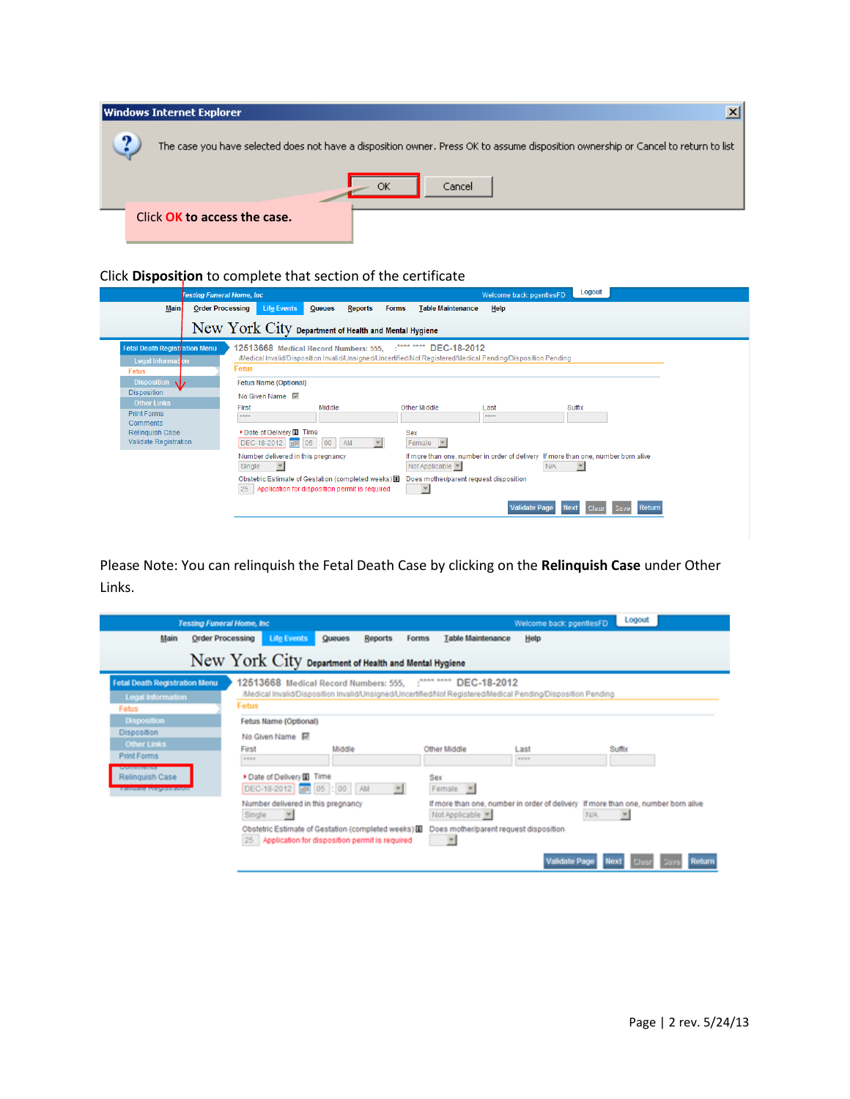| Windows Internet Explorer    |                                                                                                                                    |
|------------------------------|------------------------------------------------------------------------------------------------------------------------------------|
| പ                            | The case you have selected does not have a disposition owner. Press OK to assume disposition ownership or Cancel to return to list |
|                              | ОК<br>Cancel                                                                                                                       |
| Click OK to access the case. |                                                                                                                                    |

## Click **Disposition** to complete that section of the certificate

| <b>Festing Funeral Home, Inc.</b>                                                                                     |                                                                                                                                                                                                                                      |                                                                                                                                                                                                          | <b>Logout</b><br>Welcome back: pgentlesFD                              |  |
|-----------------------------------------------------------------------------------------------------------------------|--------------------------------------------------------------------------------------------------------------------------------------------------------------------------------------------------------------------------------------|----------------------------------------------------------------------------------------------------------------------------------------------------------------------------------------------------------|------------------------------------------------------------------------|--|
| <b>Order Processing</b><br><b>Main</b>                                                                                | <b>Life Events</b><br><b>Queues</b><br><b>Reports</b><br><b>Forms</b>                                                                                                                                                                | <b>Table Maintenance</b><br>Help                                                                                                                                                                         |                                                                        |  |
|                                                                                                                       | New York City Department of Health and Mental Hygiene                                                                                                                                                                                |                                                                                                                                                                                                          |                                                                        |  |
| <b>Fetal Death Registration Menu</b><br>Legal Information<br>Fetus<br><b>Disposition</b><br>AD.<br><b>Disposition</b> | 12513668 Medical Record Numbers: 555, : **** ****<br>/Medical Invalid/Disposition Invalid/Unsigned/Uncertified/Not Registered/Medical Pending/Disposition Pending<br>Fetus<br><b>Fetus Name (Optional)</b><br>No Given Name $\nabla$ | DEC-18-2012                                                                                                                                                                                              |                                                                        |  |
| <b>Other Links</b><br><b>Print Forms</b><br>Comments<br><b>Relinquish Case</b><br><b>Validate Registration</b>        | Middle<br>First<br>****<br>Date of Delivery <b>Deliver</b><br>DEC-18-2012   19 05 : 00   AM<br>$\overline{\phantom{a}}$                                                                                                              | Other Middle<br>Last<br>####<br><b>Sex</b><br>Female <b>v</b>                                                                                                                                            | <b>Suffix</b>                                                          |  |
|                                                                                                                       | Number delivered in this pregnancy<br>$\overline{\phantom{a}}$<br>Single<br>Obstetric Estimate of Gestation (completed weeks) 国<br>Application for disposition permit is required<br>25                                              | If more than one, number in order of delivery If more than one, number born alive<br>Not Applicable<br>$\overline{\phantom{m}}$<br>N/A<br>Does mother/parent request disposition<br>$\blacktriangledown$ |                                                                        |  |
|                                                                                                                       |                                                                                                                                                                                                                                      |                                                                                                                                                                                                          | <b>Validate Page</b><br><b>Next</b><br><b>Return</b><br>Save<br>l Clea |  |

Please Note: You can relinquish the Fetal Death Case by clicking on the **Relinquish Case** under Other Links.

|                                                                               | <b>Testing Funeral Home, Inc.</b>                                                                                                                                |                          |        |                                                                                                                                                                                 | Welcome back: pgentlesFD                                                                                    | Logout |        |
|-------------------------------------------------------------------------------|------------------------------------------------------------------------------------------------------------------------------------------------------------------|--------------------------|--------|---------------------------------------------------------------------------------------------------------------------------------------------------------------------------------|-------------------------------------------------------------------------------------------------------------|--------|--------|
| <b>Order Processing</b><br>Main                                               | <b>Life Events</b>                                                                                                                                               | Queues<br><b>Reports</b> | Forms  | <b>Table Maintenance</b>                                                                                                                                                        | Help                                                                                                        |        |        |
| New York City Department of Health and Mental Hygiene                         |                                                                                                                                                                  |                          |        |                                                                                                                                                                                 |                                                                                                             |        |        |
| <b>Fetal Death Registration Menu</b><br><b>Legal Information</b><br>Febus     | Fetus                                                                                                                                                            |                          |        | 12513668 Medical Record Numbers: 555, : **** **** DEC-18-2012                                                                                                                   | Medical Invalid/Disposition Invalid/Unsigned/Uncertified/Not Registered/Medical Pending/Disposition Pending |        |        |
| <b>Disposition</b><br>Disposition<br><b>Other Links</b><br><b>Print Forms</b> | Fetus Name (Optional)<br>No Given Name 回<br>First<br><b>SEES</b>                                                                                                 | Middle                   |        | Other Middle                                                                                                                                                                    | Last<br><b>HEER</b>                                                                                         | Suffix |        |
| <b>AMINIMUMS</b><br>Relinquish Case<br><b>TORONO INGUISTIORUM</b>             | Date of Delivery [8] Time<br>DEC-18-2012 05 : 00 AM                                                                                                              |                          | $\sim$ | Sex<br>Female V                                                                                                                                                                 |                                                                                                             |        |        |
|                                                                               | Number delivered in this pregnancy<br>Single<br>$\sim$<br>Obstetric Estimate of Gestation (completed weeks)<br>25 Application for disposition permit is required |                          |        | If more than one, number in order of delivery If more than one, number born alive<br>Not Applicable<br>N/A<br>$\vert \Psi \vert$<br>Does mother/parent request disposition<br>۳ |                                                                                                             |        |        |
|                                                                               |                                                                                                                                                                  |                          |        |                                                                                                                                                                                 | <b>Validate Page</b>                                                                                        |        | teturn |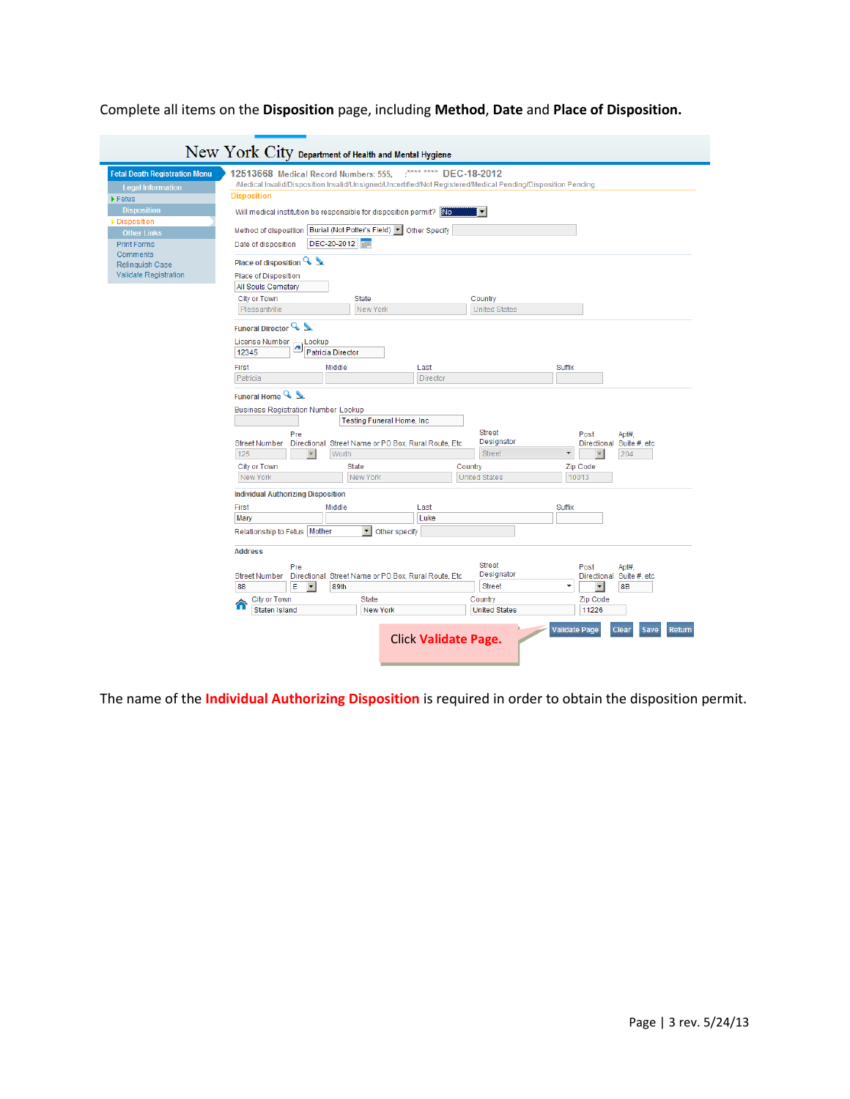Complete all items on the **Disposition** page, including **Method**, **Date** and **Place of Disposition.** 

| New York City Department of Health and Mental Hygiene                                                                                                                                                                                           |                                                                                                                                                                                                                                                                                                                                                                                                                                                                                                                |                                                                                                                                |                                                                                                                                                                                                               |  |  |  |
|-------------------------------------------------------------------------------------------------------------------------------------------------------------------------------------------------------------------------------------------------|----------------------------------------------------------------------------------------------------------------------------------------------------------------------------------------------------------------------------------------------------------------------------------------------------------------------------------------------------------------------------------------------------------------------------------------------------------------------------------------------------------------|--------------------------------------------------------------------------------------------------------------------------------|---------------------------------------------------------------------------------------------------------------------------------------------------------------------------------------------------------------|--|--|--|
| <b>Fetal Death Registration Menu</b><br><b>Legal Information</b><br>$\blacktriangleright$ Fetus<br><b>Disposition</b><br>Disposition<br><b>Other Links</b><br><b>Print Forms</b><br>Comments<br><b>Relinquish Case</b><br>Validate Registration | 12513668 Medical Record Numbers: 555,<br>/Medical Invalid/Disposition Invalid/Unsigned/Uncertified/Not Registered/Medical Pending/Disposition Pending<br><b>Disposition</b><br>Will medical institution be responsible for disposition permit? No<br>Method of disposition   Burial (Not Potter's Field)   Other Specify<br>DEC-20-2012<br>Date of disposition<br>Place of disposition $Q_{\Delta}$<br>Place of Disposition<br>All Souls Cemetery<br>City or Town<br><b>State</b><br>Pleasantville<br>New York | **** ****<br>DEC-18-2012<br>▼<br>Country<br><b>United States</b>                                                               |                                                                                                                                                                                                               |  |  |  |
|                                                                                                                                                                                                                                                 | Funeral Director Q<br><b>License Number</b><br>Lookup<br>Patricia Director<br>12345<br>First<br>Middle<br>Patricia<br>Funeral Home Q<br><b>Business Registration Number Lookup</b><br><b>Testing Funeral Home, Inc.</b><br>Pre<br><b>Street Number</b><br>Directional Street Name or PO Box, Rural Route, Etc<br>125<br>Worth<br><b>City or Town</b><br><b>State</b><br>New York<br>New York                                                                                                                   | Last<br>Director<br><b>Street</b><br>Designator<br><b>Street</b><br>Country<br><b>United States</b>                            | Suffix<br>Post<br>Apt#,<br>Directional<br>Suite #, etc<br>$\blacktriangledown$<br>204<br>$\overline{\mathbf{v}}$<br>Zip Code<br>10013                                                                         |  |  |  |
|                                                                                                                                                                                                                                                 | <b>Individual Authorizing Disposition</b><br>First<br>Middle<br>Mary<br>Relationship to Fetus   Mother<br>Other specify<br><b>Address</b><br>Pre<br><b>Street Number</b><br>Directional Street Name or PO Box, Rural Route, Etc.<br>Е<br>88<br>$\overline{\phantom{a}}$<br>89th<br>City or Town<br><b>State</b><br>Staten Island<br><b>New York</b>                                                                                                                                                            | Last<br>Luke<br><b>Street</b><br>Designator<br><b>Street</b><br>Country<br><b>United States</b><br><b>Click Validate Page.</b> | Suffix<br>Post<br>Apt#.<br>Directional Suite #, etc<br>$\blacktriangledown$<br>$\blacktriangledown$<br><b>8B</b><br>Zip Code<br>11226<br><b>Validate Page</b><br><b>Clear</b><br><b>Return</b><br><b>Save</b> |  |  |  |

The name of the **Individual Authorizing Disposition** is required in order to obtain the disposition permit.